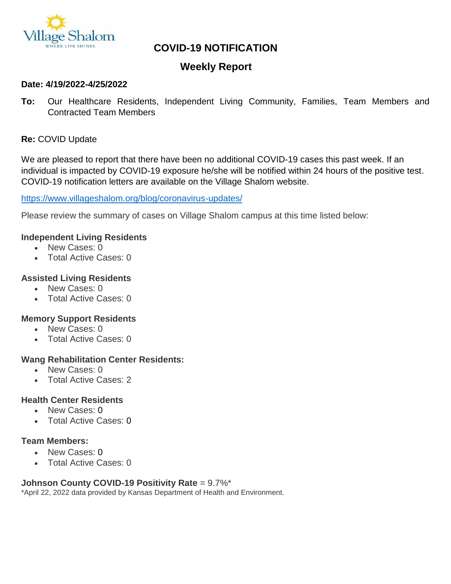

# **COVID-19 NOTIFICATION**

## **Weekly Report**

#### **Date: 4/19/2022-4/25/2022**

**To:** Our Healthcare Residents, Independent Living Community, Families, Team Members and Contracted Team Members

### **Re:** COVID Update

We are pleased to report that there have been no additional COVID-19 cases this past week. If an individual is impacted by COVID-19 exposure he/she will be notified within 24 hours of the positive test. COVID-19 notification letters are available on the Village Shalom website.

#### <https://www.villageshalom.org/blog/coronavirus-updates/>

Please review the summary of cases on Village Shalom campus at this time listed below:

#### **Independent Living Residents**

- New Cases: 0
- Total Active Cases: 0

#### **Assisted Living Residents**

- New Cases: 0
- Total Active Cases: 0

#### **Memory Support Residents**

- New Cases: 0
- Total Active Cases: 0

#### **Wang Rehabilitation Center Residents:**

- New Cases: 0
- Total Active Cases: 2

#### **Health Center Residents**

- New Cases: 0
- Total Active Cases: 0

#### **Team Members:**

- New Cases: 0
- Total Active Cases: 0

#### **Johnson County COVID-19 Positivity Rate** = 9.7%\*

\*April 22, 2022 data provided by Kansas Department of Health and Environment.